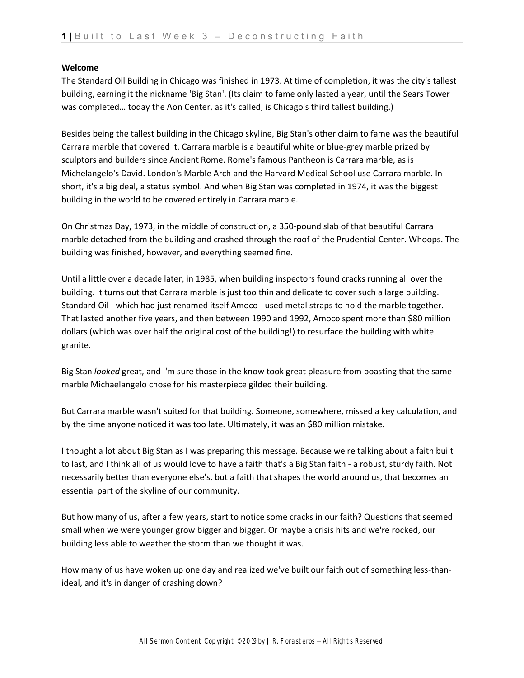## **Welcome**

The Standard Oil Building in Chicago was finished in 1973. At time of completion, it was the city's tallest building, earning it the nickname 'Big Stan'. (Its claim to fame only lasted a year, until the Sears Tower was completed… today the Aon Center, as it's called, is Chicago's third tallest building.)

Besides being the tallest building in the Chicago skyline, Big Stan's other claim to fame was the beautiful Carrara marble that covered it. Carrara marble is a beautiful white or blue-grey marble prized by sculptors and builders since Ancient Rome. Rome's famous Pantheon is Carrara marble, as is Michelangelo's David. London's Marble Arch and the Harvard Medical School use Carrara marble. In short, it's a big deal, a status symbol. And when Big Stan was completed in 1974, it was the biggest building in the world to be covered entirely in Carrara marble.

On Christmas Day, 1973, in the middle of construction, a 350-pound slab of that beautiful Carrara marble detached from the building and crashed through the roof of the Prudential Center. Whoops. The building was finished, however, and everything seemed fine.

Until a little over a decade later, in 1985, when building inspectors found cracks running all over the building. It turns out that Carrara marble is just too thin and delicate to cover such a large building. Standard Oil - which had just renamed itself Amoco - used metal straps to hold the marble together. That lasted another five years, and then between 1990 and 1992, Amoco spent more than \$80 million dollars (which was over half the original cost of the building!) to resurface the building with white granite.

Big Stan *looked* great, and I'm sure those in the know took great pleasure from boasting that the same marble Michaelangelo chose for his masterpiece gilded their building.

But Carrara marble wasn't suited for that building. Someone, somewhere, missed a key calculation, and by the time anyone noticed it was too late. Ultimately, it was an \$80 million mistake.

I thought a lot about Big Stan as I was preparing this message. Because we're talking about a faith built to last, and I think all of us would love to have a faith that's a Big Stan faith - a robust, sturdy faith. Not necessarily better than everyone else's, but a faith that shapes the world around us, that becomes an essential part of the skyline of our community.

But how many of us, after a few years, start to notice some cracks in our faith? Questions that seemed small when we were younger grow bigger and bigger. Or maybe a crisis hits and we're rocked, our building less able to weather the storm than we thought it was.

How many of us have woken up one day and realized we've built our faith out of something less-thanideal, and it's in danger of crashing down?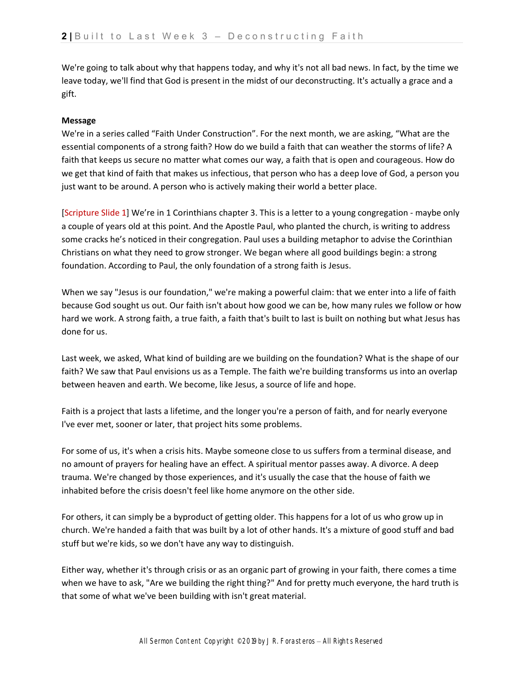We're going to talk about why that happens today, and why it's not all bad news. In fact, by the time we leave today, we'll find that God is present in the midst of our deconstructing. It's actually a grace and a gift.

## **Message**

We're in a series called "Faith Under Construction". For the next month, we are asking, "What are the essential components of a strong faith? How do we build a faith that can weather the storms of life? A faith that keeps us secure no matter what comes our way, a faith that is open and courageous. How do we get that kind of faith that makes us infectious, that person who has a deep love of God, a person you just want to be around. A person who is actively making their world a better place.

[Scripture Slide 1] We're in 1 Corinthians chapter 3. This is a letter to a young congregation - maybe only a couple of years old at this point. And the Apostle Paul, who planted the church, is writing to address some cracks he's noticed in their congregation. Paul uses a building metaphor to advise the Corinthian Christians on what they need to grow stronger. We began where all good buildings begin: a strong foundation. According to Paul, the only foundation of a strong faith is Jesus.

When we say "Jesus is our foundation," we're making a powerful claim: that we enter into a life of faith because God sought us out. Our faith isn't about how good we can be, how many rules we follow or how hard we work. A strong faith, a true faith, a faith that's built to last is built on nothing but what Jesus has done for us.

Last week, we asked, What kind of building are we building on the foundation? What is the shape of our faith? We saw that Paul envisions us as a Temple. The faith we're building transforms us into an overlap between heaven and earth. We become, like Jesus, a source of life and hope.

Faith is a project that lasts a lifetime, and the longer you're a person of faith, and for nearly everyone I've ever met, sooner or later, that project hits some problems.

For some of us, it's when a crisis hits. Maybe someone close to us suffers from a terminal disease, and no amount of prayers for healing have an effect. A spiritual mentor passes away. A divorce. A deep trauma. We're changed by those experiences, and it's usually the case that the house of faith we inhabited before the crisis doesn't feel like home anymore on the other side.

For others, it can simply be a byproduct of getting older. This happens for a lot of us who grow up in church. We're handed a faith that was built by a lot of other hands. It's a mixture of good stuff and bad stuff but we're kids, so we don't have any way to distinguish.

Either way, whether it's through crisis or as an organic part of growing in your faith, there comes a time when we have to ask, "Are we building the right thing?" And for pretty much everyone, the hard truth is that some of what we've been building with isn't great material.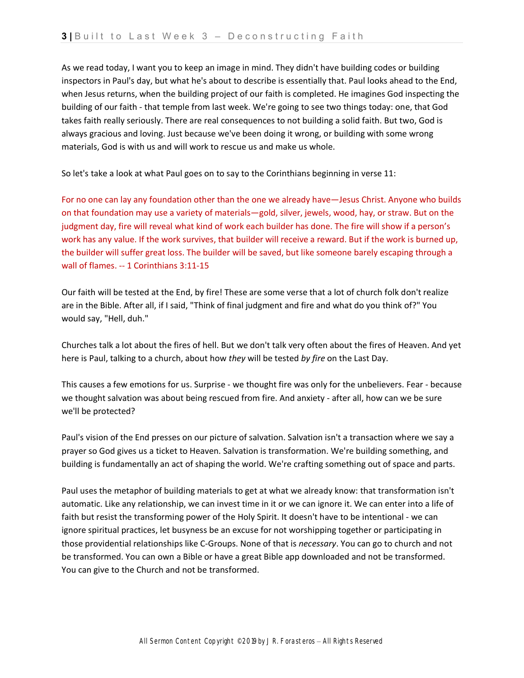As we read today, I want you to keep an image in mind. They didn't have building codes or building inspectors in Paul's day, but what he's about to describe is essentially that. Paul looks ahead to the End, when Jesus returns, when the building project of our faith is completed. He imagines God inspecting the building of our faith - that temple from last week. We're going to see two things today: one, that God takes faith really seriously. There are real consequences to not building a solid faith. But two, God is always gracious and loving. Just because we've been doing it wrong, or building with some wrong materials, God is with us and will work to rescue us and make us whole.

So let's take a look at what Paul goes on to say to the Corinthians beginning in verse 11:

For no one can lay any foundation other than the one we already have—Jesus Christ. Anyone who builds on that foundation may use a variety of materials—gold, silver, jewels, wood, hay, or straw. But on the judgment day, fire will reveal what kind of work each builder has done. The fire will show if a person's work has any value. If the work survives, that builder will receive a reward. But if the work is burned up, the builder will suffer great loss. The builder will be saved, but like someone barely escaping through a wall of flames. -- 1 Corinthians 3:11-15

Our faith will be tested at the End, by fire! These are some verse that a lot of church folk don't realize are in the Bible. After all, if I said, "Think of final judgment and fire and what do you think of?" You would say, "Hell, duh."

Churches talk a lot about the fires of hell. But we don't talk very often about the fires of Heaven. And yet here is Paul, talking to a church, about how *they* will be tested *by fire* on the Last Day.

This causes a few emotions for us. Surprise - we thought fire was only for the unbelievers. Fear - because we thought salvation was about being rescued from fire. And anxiety - after all, how can we be sure we'll be protected?

Paul's vision of the End presses on our picture of salvation. Salvation isn't a transaction where we say a prayer so God gives us a ticket to Heaven. Salvation is transformation. We're building something, and building is fundamentally an act of shaping the world. We're crafting something out of space and parts.

Paul uses the metaphor of building materials to get at what we already know: that transformation isn't automatic. Like any relationship, we can invest time in it or we can ignore it. We can enter into a life of faith but resist the transforming power of the Holy Spirit. It doesn't have to be intentional - we can ignore spiritual practices, let busyness be an excuse for not worshipping together or participating in those providential relationships like C-Groups. None of that is *necessary*. You can go to church and not be transformed. You can own a Bible or have a great Bible app downloaded and not be transformed. You can give to the Church and not be transformed.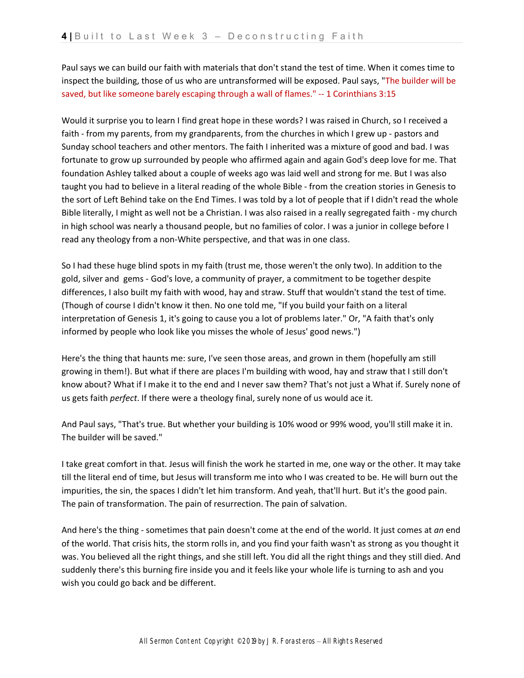Paul says we can build our faith with materials that don't stand the test of time. When it comes time to inspect the building, those of us who are untransformed will be exposed. Paul says, "The builder will be saved, but like someone barely escaping through a wall of flames." -- 1 Corinthians 3:15

Would it surprise you to learn I find great hope in these words? I was raised in Church, so I received a faith - from my parents, from my grandparents, from the churches in which I grew up - pastors and Sunday school teachers and other mentors. The faith I inherited was a mixture of good and bad. I was fortunate to grow up surrounded by people who affirmed again and again God's deep love for me. That foundation Ashley talked about a couple of weeks ago was laid well and strong for me. But I was also taught you had to believe in a literal reading of the whole Bible - from the creation stories in Genesis to the sort of Left Behind take on the End Times. I was told by a lot of people that if I didn't read the whole Bible literally, I might as well not be a Christian. I was also raised in a really segregated faith - my church in high school was nearly a thousand people, but no families of color. I was a junior in college before I read any theology from a non-White perspective, and that was in one class.

So I had these huge blind spots in my faith (trust me, those weren't the only two). In addition to the gold, silver and gems - God's love, a community of prayer, a commitment to be together despite differences, I also built my faith with wood, hay and straw. Stuff that wouldn't stand the test of time. (Though of course I didn't know it then. No one told me, "If you build your faith on a literal interpretation of Genesis 1, it's going to cause you a lot of problems later." Or, "A faith that's only informed by people who look like you misses the whole of Jesus' good news.")

Here's the thing that haunts me: sure, I've seen those areas, and grown in them (hopefully am still growing in them!). But what if there are places I'm building with wood, hay and straw that I still don't know about? What if I make it to the end and I never saw them? That's not just a What if. Surely none of us gets faith *perfect*. If there were a theology final, surely none of us would ace it.

And Paul says, "That's true. But whether your building is 10% wood or 99% wood, you'll still make it in. The builder will be saved."

I take great comfort in that. Jesus will finish the work he started in me, one way or the other. It may take till the literal end of time, but Jesus will transform me into who I was created to be. He will burn out the impurities, the sin, the spaces I didn't let him transform. And yeah, that'll hurt. But it's the good pain. The pain of transformation. The pain of resurrection. The pain of salvation.

And here's the thing - sometimes that pain doesn't come at the end of the world. It just comes at *an* end of the world. That crisis hits, the storm rolls in, and you find your faith wasn't as strong as you thought it was. You believed all the right things, and she still left. You did all the right things and they still died. And suddenly there's this burning fire inside you and it feels like your whole life is turning to ash and you wish you could go back and be different.